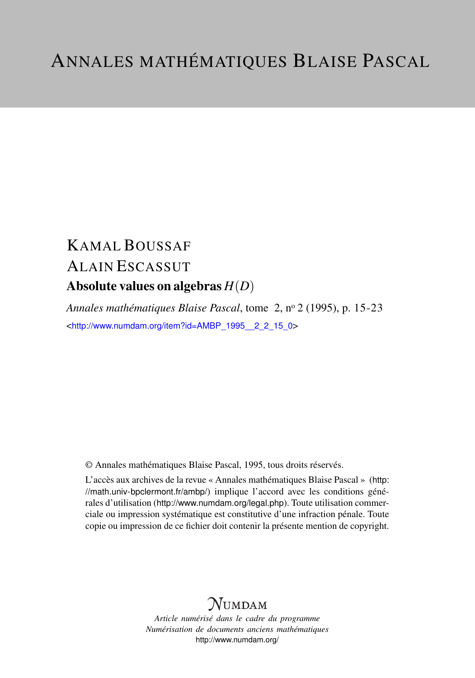# KAMAL BOUSSAF ALAIN ESCASSUT Absolute values on algebras *H*(*D*)

*Annales mathématiques Blaise Pascal*, tome 2, n<sup>o</sup> 2 (1995), p. 15-23 <[http://www.numdam.org/item?id=AMBP\\_1995\\_\\_2\\_2\\_15\\_0](http://www.numdam.org/item?id=AMBP_1995__2_2_15_0)>

© Annales mathématiques Blaise Pascal, 1995, tous droits réservés.

L'accès aux archives de la revue « Annales mathématiques Blaise Pascal » ([http:](http://math.univ-bpclermont.fr/ambp/) [//math.univ-bpclermont.fr/ambp/](http://math.univ-bpclermont.fr/ambp/)) implique l'accord avec les conditions générales d'utilisation (<http://www.numdam.org/legal.php>). Toute utilisation commerciale ou impression systématique est constitutive d'une infraction pénale. Toute copie ou impression de ce fichier doit contenir la présente mention de copyright.

## **NUMDAM**

*Article numérisé dans le cadre du programme Numérisation de documents anciens mathématiques* <http://www.numdam.org/>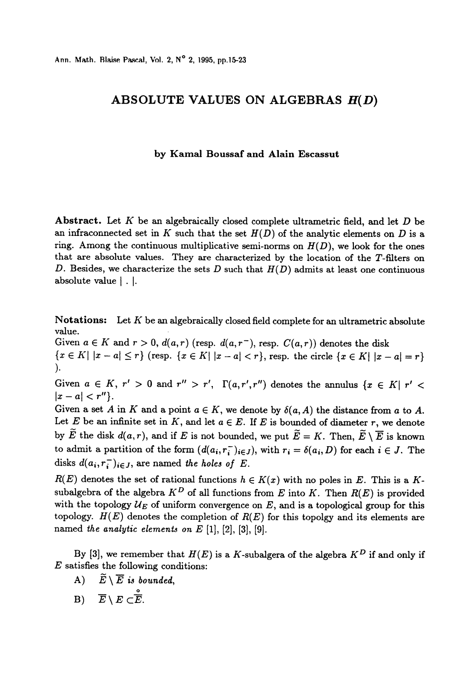## ABSOLUTE VALUES ON ALGEBRAS  $H(D)$

#### by Kamal Boussaf and Alain Escassut

Abstract. Let  $K$  be an algebraically closed complete ultrametric field, and let  $D$  be an infraconnected set in K such that the set  $H(D)$  of the analytic elements on D is a ring. Among the continuous multiplicative semi-norms on  $H(D)$ , we look for the ones that are absolute values. They are characterized by the location of the T-filters on D. Besides, we characterize the sets D such that  $H(D)$  admits at least one continuous absolute value [ . [.

Notations: Let K be an algebraically closed field complete for an ultrametric absolute value.

Given  $a \in K$  and  $r > 0$ ,  $d(a, r)$  (resp.  $d(a, r<sup>-</sup>)$ , resp.  $C(a, r)$ ) denotes the disk  ${x \in K | x-a \leq r}$  (resp.  ${x \in K | x-a < r}$ , resp. the circle  ${x \in K | x-a = r}$ ) ).

Given  $a \in K$ ,  $r' > 0$  and  $r'' > r'$ ,  $\Gamma(a, r', r'')$  denotes the annulus  $\{x \in K | r' <$  $|x - a| < r''$ .

Given a set A in K and a point  $a \in K$ , we denote by  $\delta(a, A)$  the distance from a to A. Let E be an infinite set in K, and let  $a \in E$ . If E is bounded of diameter r, we denote by  $\widetilde{E}$  the disk  $d(a, r)$ , and if E is not bounded, we put  $\widetilde{E} = K$ . Then,  $\widetilde{E} \setminus \overline{E}$  is known to admit a partition of the form  $(d(a_i, r_i))_{i \in J}$ , with  $r_i = \delta(a_i, D)$  for each  $i \in J$ . The disks  $d(a_i, r_i^-)_{i \in J}$ , are named the holes of E.

 $R(E)$  denotes the set of rational functions  $h \in K(x)$  with no poles in E. This is a Ksubalgebra of the algebra  $K^D$  of all functions from E into K. Then  $R(E)$  is provided with the topology  $U_E$  of uniform convergence on  $E$ , and is a topological group for this topology.  $H(E)$  denotes the completion of  $R(E)$  for this topolgy and its elements are named the analytic elements on  $E[1]$ ,  $[2]$ ,  $[3]$ ,  $[9]$ .

By [3], we remember that  $H(E)$  is a K-subalgera of the algebra  $K^D$  if and only if  $E$  satisfies the following conditions:

- A)  $\widetilde{E} \setminus \overline{E}$  is bounded,
- B)  $\overline{E} \setminus E \subset \stackrel{\circ}{\overline{E}}$ .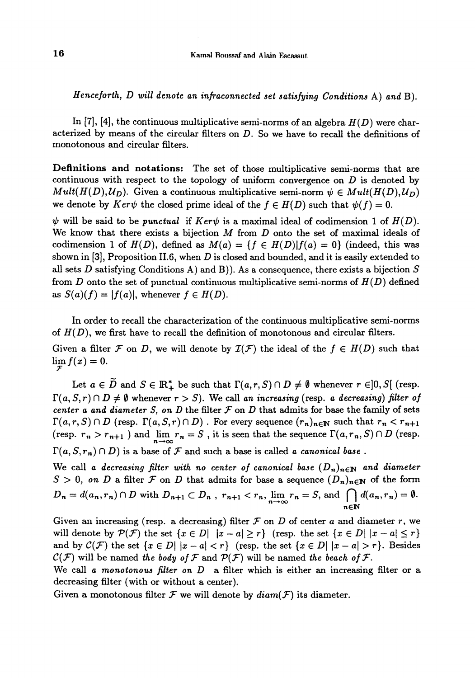Henceforth, D will denote an infraconnected set satisfying Conditions A) and B).

In [7], [4], the continuous multiplicative semi-norms of an algebra  $H(D)$  were characterized by means of the circular filters on D. So we have to recall the definitions of monotonous and circular filters.

Definitions and notations: The set of those multiplicative semi-norms that are continuous with respect to the topology of uniform convergence on  $D$  is denoted by Mult( $H(D), U_D$ ). Given a continuous multiplicative semi-norm  $\psi \in Mult(H(D), U_D)$  we denote by  $Ker\psi$  the closed prime ideal of the  $f \in H(D)$  such that  $\psi(f) = 0$ .

 $\psi$  will be said to be punctual if  $Ker\psi$  is a maximal ideal of codimension 1 of  $H(D)$ . We know that there exists a bijection  $M$  from  $D$  onto the set of maximal ideals of codimension 1 of  $H(D)$ , defined as  $M(a) = \{f \in H(D)|f(a) = 0\}$  (indeed, this was shown in  $[3]$ , Proposition II.6, when D is closed and bounded, and it is easily extended to all sets D satisfying Conditions A) and B)). As a consequence, there exists a bijection  $S$ from D onto the set of punctual continuous multiplicative semi-norms of  $H(D)$  defined as  $S(a)(f) = |f(a)|$ , whenever  $f \in H(D)$ .

In order to recall the characterization of the continuous multiplicative semi-norms of  $H(D)$ , we first have to recall the definition of monotonous and circular filters. Given a filter F on D, we will denote by  $\mathcal{I}(F)$  the ideal of the  $f \in H(D)$  such that  $\lim_{\mathcal{F}} f(x) = 0.$ 

Let  $a \in \tilde{D}$  and  $S \in \mathbb{R}_+^*$  be such that  $\Gamma(a, r, S) \cap D \neq \emptyset$  whenever  $r \in ]0, S[$  (resp.  $\Gamma(a, S, r) \cap D \neq \emptyset$  whenever  $r > S$ ). We call an increasing (resp. a decreasing) filter of center a and diameter S, on D the filter  $F$  on D that admits for base the family of sets  $\Gamma(a, r, S) \cap D$  (resp.  $\Gamma(a, S, r) \cap D$ ). For every sequence  $(r_n)_{n \in \mathbb{N}}$  such that  $r_n < r_{n+1}$ (resp.  $r_n > r_{n+1}$ ) and  $\lim_{n \to \infty} r_n = S$ , it is seen that the sequence  $\Gamma(a, r_n, S) \cap D$  (resp.  $\Gamma(a, S, r_n) \cap D$ ) is a base of  $\mathcal F$  and such a base is called a canonical base.

We call a decreasing filter with no center of canonical base  $(D_n)_{n\in\mathbb{N}}$  and diameter  $S > 0$ , on D a filter F on D that admits for base a sequence  $(D_n)_{n \in \mathbb{N}}$  of the form  $D_n = d(a_n, r_n) \cap D$  with  $D_{n+1} \subset D_n$ ,  $r_{n+1} < r_n$ ,  $\lim_{n \to \infty} r_n = S$ , and  $\bigcap_{n \in \mathbb{N}} d(a_n, r_n) = 0$ 

Given an increasing (resp. a decreasing) filter  $\mathcal F$  on D of center a and diameter r, we will denote by  $\mathcal{P}(\mathcal{F})$  the set  $\{x \in D | |x-a| \geq r\}$  (resp. the set  $\{x \in D | |x-a| \leq r\}$ and by  $\mathcal{C}(\mathcal{F})$  the set  $\{x \in D | |x-a| < r\}$  (resp. the set  $\{x \in D | |x-a| > r\}$ . Besides  $\mathcal{C}(\mathcal{F})$  will be named the body of  $\mathcal F$  and  $\mathcal{P}(\mathcal{F})$  will be named the beach of  $\mathcal F$ .

We call a monotonous filter on  $D$  a filter which is either an increasing filter or a decreasing filter (with or without a center).

Given a monotonous filter  $\mathcal F$  we will denote by  $diam(\mathcal F)$  its diameter.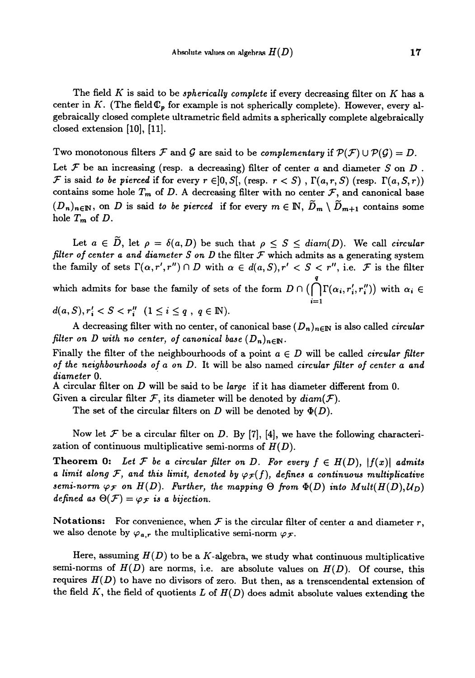The field K is said to be *spherically complete* if every decreasing filter on K has a center in K. (The field  $\mathbb{C}_p$  for example is not spherically complete). However, every algebraically closed complete ultrametric field admits a spherically complete algebraically closed extension [10], [11].

Two monotonous filters F and G are said to be complementary if  $P(F) \cup P(G) = D$ .

Let  $\mathcal F$  be an increasing (resp. a decreasing) filter of center a and diameter S on D.  $\mathcal F$  is said to be pierced if for every  $r \in ]0, S[$ , (resp.  $r < S)$ ,  $\Gamma(a, r, S)$  (resp.  $\Gamma(a, S, r)$ ) contains some hole  $T_m$  of D. A decreasing filter with no center  $\mathcal{F}$ , and canonical base  $(D_n)_{n\in\mathbb{N}}$ , on D is said to be pierced if for every  $m\in\mathbb{N}$ ,  $\widetilde{D}_m\setminus\widetilde{D}_{m+1}$  contains some hole  $T_m$  of  $D$ .

Let  $a \in \tilde{D}$ , let  $\rho = \delta(a, D)$  be such that  $\rho \leq S \leq diam(D)$ . We call circular filter of center a and diameter  $S$  on  $D$  the filter  $\mathcal F$  which admits as a generating system the family of sets  $\Gamma(\alpha, r', r'') \cap D$  with  $\alpha \in d(a, S), r' < S < r''$ , i.e. F is the filter which admits for base the family of sets of the form  $D \cap (\bigcap^q \Gamma(\alpha_i, r'_i, r''_i))$  with  $\alpha_i \in$ 

 $d(a, S), r'_i < S < r''_i \ (1 \leq i \leq q, q \in \mathbb{N}).$ 

A decreasing filter with no center, of canonical base  $(D_n)_{n\in\mathbb{N}}$  is also called *circular* filter on D with no center, of canonical base  $(D_n)_{n\in\mathbb{N}}$ .

 $i=1$ 

Finally the filter of the neighbourhoods of a point  $a \in D$  will be called *circular filter* of the neighbourhoods of a on D. It will be also named circular filter of center a and diameter 0.

A circular filter on D will be said to be large if it has diameter different from 0.

Given a circular filter  $\mathcal{F}$ , its diameter will be denoted by  $diam(\mathcal{F})$ .

The set of the circular filters on D will be denoted by  $\Phi(D)$ .

Now let  $\mathcal F$  be a circular filter on D. By [7], [4], we have the following characterization of continuous multiplicative semi-norms of  $H(D)$ .

**Theorem 0:** Let F be a circular filter on D. For every  $f \in H(D)$ ,  $|f(x)|$  admits a limit along F, and this limit, denoted by  $\varphi_{\mathcal{F}}(f)$ , defines a continuous multiplicative semi-norm  $\varphi_{\mathcal{F}}$  on  $H(D)$ . Further, the mapping  $\Theta$  from  $\Phi(D)$  into  $Mult(H(D),U_D)$ defined as  $\Theta(\mathcal{F}) = \varphi_{\mathcal{F}}$  is a bijection.

Notations: For convenience, when  $\mathcal F$  is the circular filter of center a and diameter r, we also denote by  $\varphi_{a,r}$  the multiplicative semi-norm  $\varphi_{\mathcal{F}}$ .

Here, assuming  $H(D)$  to be a K-algebra, we study what continuous multiplicative semi-norms of  $H(D)$  are norms, i.e. are absolute values on  $H(D)$ . Of course, this requires  $H(D)$  to have no divisors of zero. But then, as a trenscendental extension of the field K, the field of quotients L of  $H(D)$  does admit absolute values extending the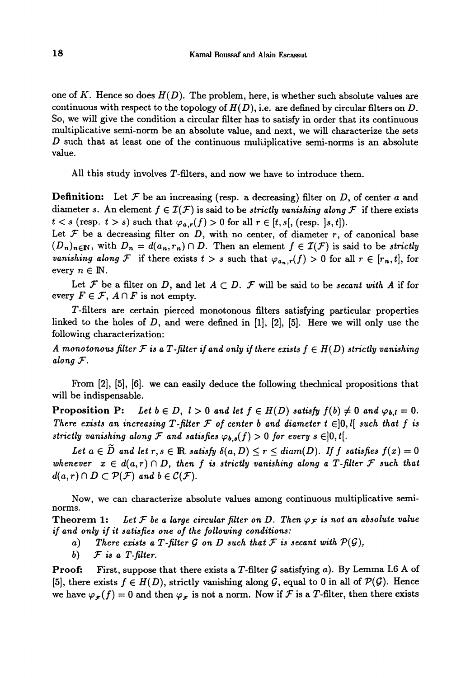one of K. Hence so does  $H(D)$ . The problem, here, is whether such absolute values are continuous with respect to the topology of  $H(D)$ , i.e. are defined by circular filters on D. So, we will give the condition a circular filter has to satisfy in order that its continuous multiplicative semi-norm be an absolute value, and next, we will characterize the sets  $D$  such that at least one of the continuous multiplicative semi-norms is an absolute value.

All this study involves T-filters, and now we have to introduce them.

**Definition:** Let  $\mathcal F$  be an increasing (resp. a decreasing) filter on D, of center a and diameter s. An element  $f \in \mathcal{I}(\mathcal{F})$  is said to be strictly vanishing along F if there exists  $t < s$  (resp.  $t > s$ ) such that  $\varphi_{a,r}(f) > 0$  for all  $r \in [t, s[$ , (resp.  $|s, t|)$ .

Let  $F$  be a decreasing filter on D, with no center, of diameter r, of canonical base  $(D_n)_{n\in\mathbb{N}}$ , with  $D_n = d(a_n, r_n) \cap D$ . Then an element  $f \in \mathcal{I}(F)$  is said to be strictly vanishing along F if there exists  $t > s$  such that  $\varphi_{a_n,r}(f) > 0$  for all  $r \in [r_n, t]$ , for every  $n \in \mathbb{N}$ .

Let F be a filter on D, and let  $A \subset D$ . F will be said to be secant with A if for every  $F \in \mathcal{F}$ ,  $A \cap F$  is not empty.

T-filters are certain pierced monotonous filters satisfying particular properties linked to the holes of  $D$ , and were defined in  $[1]$ ,  $[2]$ ,  $[5]$ . Here we will only use the following characterization:

A monotonous filter  $\mathcal F$  is a  $T$ -filter if and only if there exists  $f\in H(D)$  strictly vanishing along  $F$ .

From [2], [5], [6]. we can easily deduce the following thechnical propositions that will be indispensable.

Proposition P: Let  $b \in D$ ,  $l > 0$  and let  $f \in H(D)$  satisfy  $f(b) \neq 0$  and  $\varphi_{b,l} = 0$ . There exists an increasing T-filter  $\mathcal F$  of center b and diameter  $t \in ]0,l[$  such that f is strictly vanishing along F and satisfies  $\varphi_{b,s}(f) > 0$  for every  $s \in ]0,t[$ .

Let  $a \in D$  and let  $r, s \in \mathbb{R}$  satisfy  $\delta(a, D) \le r \le diam(D)$ . If f satisfies  $f(x) = 0$ whenever  $x \in d(a,r) \cap D$ , then f is strictly vanishing along a T-filter F such that  $d(a,r) \cap D \subset \mathcal{P}(\mathcal{F})$  and  $b \in \mathcal{C}(\mathcal{F})$ .

Now, we can characterize absolute values among continuous multiplicative seminorms.

**Theorem 1:** Let F be a large circular filter on D. Then  $\varphi$  is not an absolute value if and only if it satisfies one of the following conditions:

- a) There exists a T-filter G on D such that F is secant with  $P(G)$ ,
- b)  $\mathcal F$  is a T-filter.

**Proof:** First, suppose that there exists a T-filter G satisfying a). By Lemma I.6 A of [5], there exists  $f \in H(D)$ , strictly vanishing along  $\mathcal G$ , equal to 0 in all of  $\mathcal P(\mathcal G)$ . Hence we have  $\varphi_{\mathcal{F}}(f) = 0$  and then  $\varphi_{\mathcal{F}}$  is not a norm. Now if  $\mathcal F$  is a T-filter, then there exists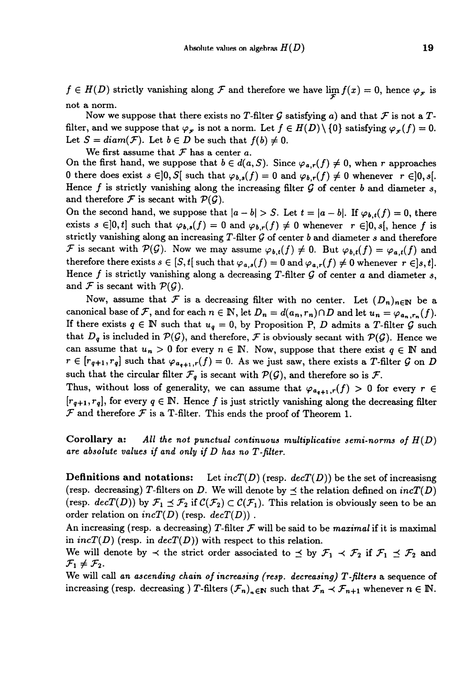$f \in H(D)$  strictly vanishing along  $\mathcal F$  and therefore we have  $\lim_{x \to \infty} f(x) = 0$ , hence  $\varphi_{\mathcal F}$  is not a norm.

Now we suppose that there exists no T-filter G satisfying a) and that  $\mathcal F$  is not a Tfilter, and we suppose that  $\varphi_{\mathcal{F}}$  is not a norm. Let  $f \in H(D) \setminus \{0\}$  satisfying  $\varphi_{\mathcal{F}}(f) = 0$ . Let  $S = diam(\mathcal{F})$ . Let  $b \in D$  be such that  $f(b) \neq 0$ .

We first assume that  $\mathcal F$  has a center a.

On the first hand, we suppose that  $b \in d(a, S)$ . Since  $\varphi_{a,r}(f) \neq 0$ , when r approaches 0 there does exist  $s \in ]0, S[$  such that  $\varphi_{b,s}(f) = 0$  and  $\varphi_{b,r}(f) \neq 0$  whenever  $r \in ]0, s[$ . Hence f is strictly vanishing along the increasing filter  $\mathcal G$  of center b and diameter s, and therefore  $\mathcal F$  is secant with  $\mathcal P(\mathcal G)$ .

On the second hand, we suppose that  $|a - b| > S$ . Let  $t = |a - b|$ . If  $\varphi_{b,t}(f) = 0$ , there exists  $s \in ]0, t]$  such that  $\varphi_{b,s}(f) = 0$  and  $\varphi_{b,r}(f) \neq 0$  whenever  $r \in ]0, s[$ , hence f is strictly vanishing along an increasing T-filter  $\mathcal G$  of center b and diameter s and therefore F is secant with  $\mathcal{P}(\mathcal{G})$ . Now we may assume  $\varphi_{b,t}(f) \neq 0$ . But  $\varphi_{b,t}(f) = \varphi_{a,t}(f)$  and therefore there exists  $s \in [S, t]$  such that  $\varphi_{a,s}(f) = 0$  and  $\varphi_{a,r}(f) \neq 0$  whenever  $r \in ]s, t]$ . Hence f is strictly vanishing along a decreasing T-filter  $\mathcal G$  of center a and diameter s, and  $\mathcal F$  is secant with  $\mathcal P(\mathcal G)$ .

Now, assume that F is a decreasing filter with no center. Let  $(D_n)_{n\in\mathbb{N}}$  be a canonical base of F, and for each  $n \in \mathbb{N}$ , let  $D_n = d(a_n, r_n) \cap D$  and let  $u_n = \varphi_{a_n, r_n}(f)$ . If there exists  $q \in \mathbb{N}$  such that  $u_q = 0$ , by Proposition P, D admits a T-filter G such that  $D_q$  is included in  $P(G)$ , and therefore, F is obviously secant with  $P(G)$ . Hence we can assume that  $u_n > 0$  for every  $n \in \mathbb{N}$ . Now, suppose that there exist  $q \in \mathbb{N}$  and  $r \in [r_{q+1}, r_q]$  such that  $\varphi_{a_{q+1},r}(f) = 0$ . As we just saw, there exists a T-filter G on D such that the circular filter  $\mathcal{F}_q$  is secant with  $\mathcal{P}(\mathcal{G})$ , and therefore so is  $\mathcal{F}$ .

Thus, without loss of generality, we can assume that  $\varphi_{a_{q+1},r}(f) > 0$  for every  $r \in$  $[r_{q+1}, r_q]$ , for every  $q \in \mathbb{N}$ . Hence f is just strictly vanishing along the decreasing filter  $\mathcal F$  and therefore  $\mathcal F$  is a T-filter. This ends the proof of Theorem 1.

Corollary a: All the not punctual continuous multiplicative semi-norms of  $H(D)$  are absolute values if and only if D has no T-filter.

**Definitions and notations:** Let  $incT(D)$  (resp.  $decT(D)$ ) be the set of increasisng (resp. decreasing) T-filters on D. We will denote by  $\preceq$  the relation defined on  $incT(D)$ (resp.  $decT(D)$ ) by  $\mathcal{F}_1 \preceq \mathcal{F}_2$  if  $\mathcal{C}(\mathcal{F}_2) \subset \mathcal{C}(\mathcal{F}_1)$ . This relation is obviously seen to be an order relation on  $incT(D)$  (resp.  $decT(D)$ ).

An increasing (resp. a decreasing) T-filter  $\mathcal F$  will be said to be maximal if it is maximal in  $incT(D)$  (resp. in  $decT(D)$ ) with respect to this relation.

We will denote by  $\prec$  the strict order associated to  $\preceq$  by  $\mathcal{F}_1 \prec \mathcal{F}_2$  if  $\mathcal{F}_1 \preceq \mathcal{F}_2$  and  $\mathcal{F}_1 \neq \mathcal{F}_2$ .

We will call an ascending chain of increasing (resp. decreasing)  $T$ -filters a sequence of increasing (resp. decreasing ) T-filters  $(\mathcal{F}_n)_{n \in \mathbb{N}}$  such that  $\mathcal{F}_n \prec \mathcal{F}_{n+1}$  whenever  $n \in \mathbb{N}$ .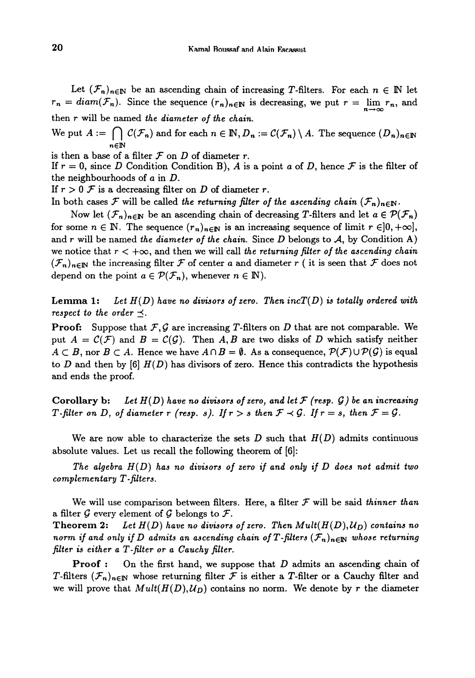Let  $(\mathcal{F}_n)_{n\in\mathbb{N}}$  be an ascending chain of increasing T-filters. For each  $n \in \mathbb{N}$  let  $r_n = diam(\mathcal{F}_n)$ . Since the sequence  $(r_n)_{n\in\mathbb{N}}$  is decreasing, we put  $r = \lim_{n\to\infty} r_n$ , and then r will be named the diameter of the chain.

We put  $A := \bigcap_{n \in \mathbb{N}} C(\mathcal{F}_n)$  and for each  $n \in \mathbb{N}, D_n := C(\mathcal{F}_n) \setminus A$ . The sequence  $(D_n)_{n \in \mathbb{N}}$ 

is then a base of a filter  $F$  on  $D$  of diameter r.

If  $r = 0$ , since D Condition Condition B), A is a point a of D, hence F is the filter of the neighbourhoods of a in D.

If  $r > 0$  F is a decreasing filter on D of diameter r.

In both cases F will be called the returning filter of the ascending chain  $(\mathcal{F}_n)_{n\in\mathbb{N}}$ .

Now let  $(\mathcal{F}_n)_{n\in\mathbb{N}}$  be an ascending chain of decreasing T-filters and let  $a \in \mathcal{P}(\mathcal{F}_n)$ for some  $n \in \mathbb{N}$ . The sequence  $(r_n)_{n \in \mathbb{N}}$  is an increasing sequence of limit  $r \in ]0, +\infty]$ , and r will be named the diameter of the chain. Since D belongs to  $A$ , by Condition A) we notice that  $r < +\infty$ , and then we will call the returning filter of the ascending chain  $(\mathcal{F}_n)_{n\in\mathbb{N}}$  the increasing filter F of center a and diameter r (it is seen that F does not depend on the point  $a \in \mathcal{P}(\mathcal{F}_n)$ , whenever  $n \in \mathbb{N}$ ).

**Lemma 1:** Let  $H(D)$  have no divisors of zero. Then  $incT(D)$  is totally ordered with respect to the order  $\preceq$ .

**Proof:** Suppose that  $\mathcal{F}, \mathcal{G}$  are increasing T-filters on D that are not comparable. We put  $A = C(F)$  and  $B = C(G)$ . Then A, B are two disks of D which satisfy neither  $A \subset B$ , nor  $B \subset A$ . Hence we have  $A \cap B = \emptyset$ . As a consequence,  $\mathcal{P}(\mathcal{F}) \cup \mathcal{P}(\mathcal{G})$  is equal to D and then by  $[6]$   $H(D)$  has divisors of zero. Hence this contradicts the hypothesis and ends the proof.

Corollary b: Let  $H(D)$  have no divisors of zero, and let  $\mathcal F$  (resp.  $\mathcal G$ ) be an increasing T-filter on D, of diameter r (resp. s). If  $r > s$  then  $\mathcal{F} \prec \mathcal{G}$ . If  $r = s$ , then  $\mathcal{F} = \mathcal{G}$ .

We are now able to characterize the sets D such that  $H(D)$  admits continuous absolute values. Let us recall the following theorem of [6]:

The algebra  $H(D)$  has no divisors of zero if and only if  $D$  does not admit two  $complementary T-filters.$ 

We will use comparison between filters. Here, a filter  $\mathcal F$  will be said thinner than a filter  $G$  every element of  $G$  belongs to  $\mathcal{F}$ .

Theorem 2: Let  $H(D)$  have no divisors of zero. Then  $Mult(H(D),U_D)$  contains no norm if and only if D admits an ascending chain of T-filters  $(\mathcal{F}_n)_{n\in\mathbb{N}}$  whose returning filter is either a T-filter or a Cauchy filter.

**Proof :** On the first hand, we suppose that  $D$  admits an ascending chain of T-filters  $(\mathcal{F}_n)_{n\in\mathbb{N}}$  whose returning filter F is either a T-filter or a Cauchy filter and we will prove that  $Mult(H(D),U_D)$  contains no norm. We denote by r the diameter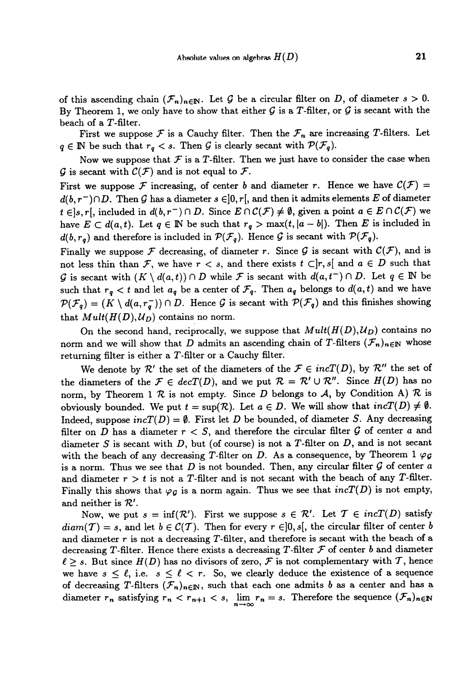of this ascending chain  $(\mathcal{F}_n)_{n\in\mathbb{N}}$ . Let G be a circular filter on D, of diameter  $s > 0$ . By Theorem 1, we only have to show that either  $G$  is a T-filter, or  $G$  is secant with the beach of a T-filter.

First we suppose  $\mathcal F$  is a Cauchy filter. Then the  $\mathcal F_n$  are increasing T-filters. Let  $q \in \mathbb{N}$  be such that  $r_q < s$ . Then G is clearly secant with  $\mathcal{P}(\mathcal{F}_q)$ .

Now we suppose that  $\mathcal F$  is a T-filter. Then we just have to consider the case when G is secant with  $\mathcal{C}(\mathcal{F})$  and is not equal to  $\mathcal{F}$ .

First we suppose F increasing, of center b and diameter r. Hence we have  $\mathcal{C}(\mathcal{F}) =$  $d(b, r^-) \cap D$ . Then G has a diameter  $s \in ]0, r[$ , and then it admits elements E of diameter  $t \in ]s, r[,$  included in  $d(b, r^-) \cap D$ . Since  $E \cap C(\mathcal{F}) \neq \emptyset$ , given a point  $a \in E \cap C(\mathcal{F})$  we have  $E \subset d(a, t)$ . Let  $q \in \mathbb{N}$  be such that  $r_q > \max(t, |a - b|)$ . Then E is included in  $d(b, r_q)$  and therefore is included in  $\mathcal{P}(\mathcal{F}_q)$ . Hence G is secant with  $\mathcal{P}(\mathcal{F}_q)$ .

Finally we suppose  $\mathcal F$  decreasing, of diameter r. Since  $\mathcal G$  is secant with  $\mathcal C(\mathcal F)$ , and is not less thin than F, we have  $r < s$ , and there exists  $t \subset ]r, s[$  and  $a \in D$  such that G is secant with  $(K \setminus d(a, t)) \cap D$  while F is secant with  $d(a, t^{-}) \cap D$ . Let  $q \in \mathbb{N}$  be such that  $r_q < t$  and let  $a_q$  be a center of  $\mathcal{F}_q$ . Then  $a_q$  belongs to  $d(a, t)$  and we have  $\mathcal{P}(\mathcal{F}_q) = (K \setminus d(a, r_q^-)) \cap D$ . Hence G is secant with  $\mathcal{P}(\mathcal{F}_q)$  and this finishes showing that  $Mult(H(D), U_D)$  contains no norm.

On the second hand, reciprocally, we suppose that  $Mult(H(D), U_D)$  contains no norm and we will show that D admits an ascending chain of T-filters  $(\mathcal{F}_n)_{n\in\mathbb{N}}$  whose returning filter is either a T-filter or a Cauchy filter.

We denote by  $\mathcal{R}'$  the set of the diameters of the  $\mathcal{F} \in incT(D)$ , by  $\mathcal{R}''$  the set of the diameters of the  $\mathcal{F} \in decT(D)$ , and we put  $\mathcal{R} = \mathcal{R}' \cup \mathcal{R}''$ . Since  $H(D)$  has no norm, by Theorem 1  $R$  is not empty. Since D belongs to A, by Condition A)  $R$  is obviously bounded. We put  $t = \sup(R)$ . Let  $a \in D$ . We will show that  $incT(D) \neq \emptyset$ . Indeed, suppose  $incT(D) = \emptyset$ . First let D be bounded, of diameter S. Any decreasing filter on D has a diameter  $r < S$ , and therefore the circular filter G of center a and diameter S is secant with  $D$ , but (of course) is not a T-filter on  $D$ , and is not secant with the beach of any decreasing T-filter on D. As a consequence, by Theorem 1  $\varphi_{\mathcal{G}}$ is a norm. Thus we see that  $D$  is not bounded. Then, any circular filter  $G$  of center a and diameter  $r > t$  is not a T-filter and is not secant with the beach of any T-filter. Finally this shows that  $\varphi_{\mathcal{G}}$  is a norm again. Thus we see that  $incT(D)$  is not empty, and neither is  $R'$ .

Now, we put  $s = \inf(\mathcal{R}')$ . First we suppose  $s \in \mathcal{R}'$ . Let  $\mathcal{T} \in incT(D)$  satisfy  $diam(T) = s$ , and let  $b \in C(T)$ . Then for every  $r \in ]0, s[$ , the circular filter of center b and diameter  $r$  is not a decreasing T-filter, and therefore is secant with the beach of a decreasing T-filter. Hence there exists a decreasing T-filter  $\mathcal F$  of center b and diameter  $\ell \geq s$ . But since  $H(D)$  has no divisors of zero,  $\mathcal F$  is not complementary with T, hence we have  $s \leq \ell$ , i.e.  $s \leq \ell < r$ . So, we clearly deduce the existence of a sequence of decreasing T-filters  $(\mathcal{F}_n)_{n\in\mathbb{N}}$ , such that each one admits b as a center and has a diameter  $r_n$  satisfying  $r_n < r_{n+1} < s$ ,  $\lim_{n \to \infty} r_n = s$ . Therefore the sequence  $(\mathcal{F}_n)_{n \in \mathbb{N}}$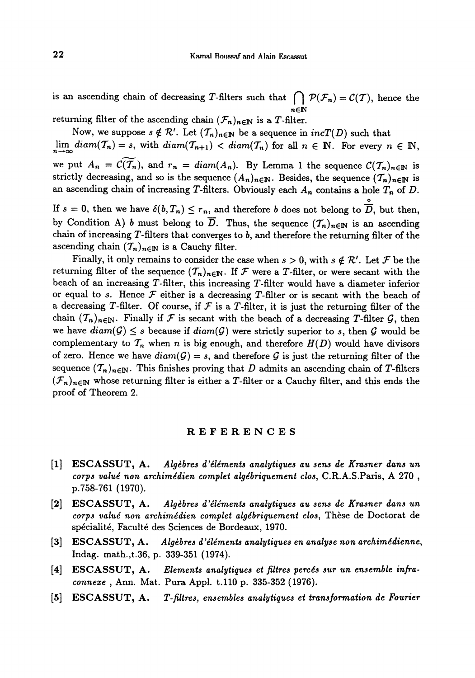is an ascending chain of decreasing T-filters such that  $\bigcap_{n=1}^{\infty} P(F_n) = C(T)$ , hence the  $n \in \mathbb{N}$ 

returning filter of the ascending chain  $(\mathcal{F}_n)_{n\in\mathbb{N}}$  is a T-filter.

Now, we suppose  $s \notin \mathcal{R}'$ . Let  $(T_n)_{n \in \mathbb{N}}$  be a sequence in  $incT(D)$  such that  $\lim_{n\to\infty} diam(T_n) = s$ , with  $diam(T_{n+1}) < diam(T_n)$  for all  $n \in \mathbb{N}$ . For every  $n \in \mathbb{N}$ . we put  $A_n = \mathcal{C}(\overline{T}_n)$ , and  $r_n = diam(A_n)$ . By Lemma 1 the sequence  $\mathcal{C}(\overline{T}_n)_{n \in \mathbb{N}}$  is strictly decreasing, and so is the sequence  $(A_n)_{n\in\mathbb{N}}$ . Besides, the sequence  $(\mathcal{T}_n)_{n\in\mathbb{N}}$  is an ascending chain of increasing T-filters. Obviously each  $A_n$  contains a hole  $T_n$  of D.

If  $s = 0$ , then we have  $\delta(b, T_n) \leq r_n$ , and therefore b does not belong to  $\overline{D}$ , but then, by Condition A) b must belong to  $\overline{D}$ . Thus, the sequence  $({\mathcal{T}}_n)_{n\in\mathbb{N}}$  is an ascending chain of increasing T-filters that converges to b, and therefore the returning filter of the ascending chain  $(T_n)_{n\in\mathbb{N}}$  is a Cauchy filter.

Finally, it only remains to consider the case when  $s > 0$ , with  $s \notin \mathcal{R}'$ . Let  $\mathcal F$  be the returning filter of the sequence  $(T_n)_{n\in\mathbb{N}}$ . If F were a T-filter, or were secant with the beach of an increasing T-filter, this increasing T-filter would have a diameter inferior or equal to s. Hence  $\mathcal F$  either is a decreasing T-filter or is secant with the beach of a decreasing T-filter. Of course, if  $\mathcal F$  is a T-filter, it is just the returning filter of the chain  $({\mathcal T}_n)_{n\in\mathbb{N}}$ . Finally if F is secant with the beach of a decreasing T-filter G, then we have  $diam(G) \leq s$  because if  $diam(G)$  were strictly superior to s, then G would be complementary to  $T_n$  when n is big enough, and therefore  $H(D)$  would have divisors of zero. Hence we have  $diam(\mathcal{G}) = s$ , and therefore  $\mathcal G$  is just the returning filter of the sequence  $(\mathcal{T}_n)_{n\in\mathbb{N}}$ . This finishes proving that D admits an ascending chain of T-filters  $(\mathcal{F}_n)_{n\in\mathbb{N}}$  whose returning filter is either a T-filter or a Cauchy filter, and this ends the proof of Theorem 2.

### REFERENCES

- [1] ESCASSUT, A. Algèbres d'éléments analytiques au sens de Krasner dans un corps valué non archimédien complet algébriquement clos, C.R.A.S.Paris, A 270 , p.758-761 (1970).
- [2] ESCASSUT, A. Algèbres d'éléments analytiques au sens de Krasner dans un corps valué non archimédien complet algébriquement clos, Thèse de Doctorat de spécialité, Faculté des Sciences de Bordeaux, 1970.
- [3] ESCASSUT, A. Algèbres d'éléments analytiques en analyse non archimédienne, Indag. math.,t.36, p. 339-351 (1974).
- [4] ESCASSUT, A. Elements analytiques et filtres percés sur un ensemble infraconnexe , Ann. Mat. Pura Appl. t.110 p. 335-352 (1976).
- [5] ESCASSUT, A. T-filtres, ensembles analytiques et transformation de Fourier